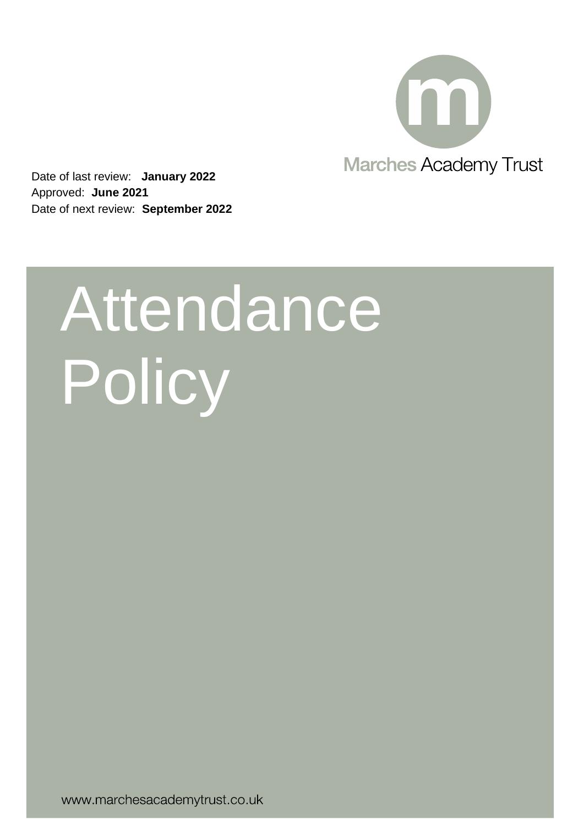

Date of last review: **January 2022** Approved: **June 2021** Date of next review: **September 2022**

# Attendance Policy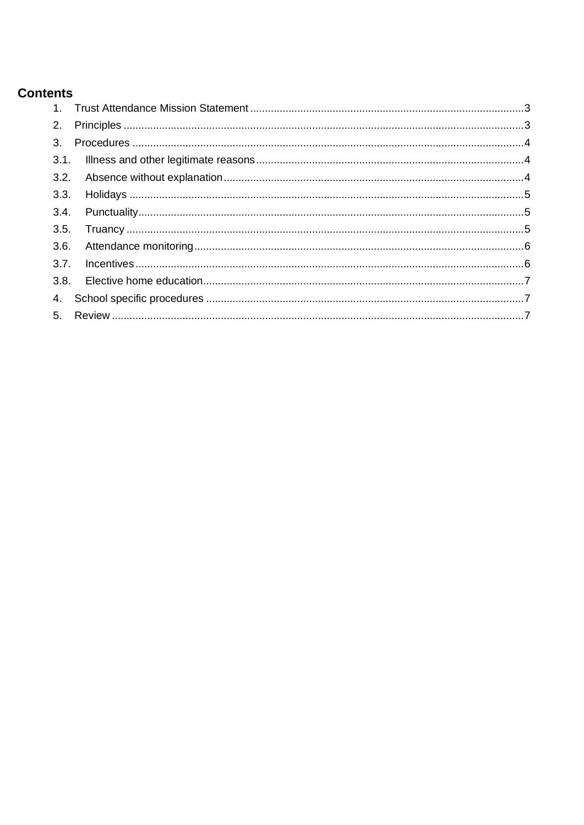# **Contents**

| 2.   |  |
|------|--|
| 3.   |  |
|      |  |
|      |  |
| 3.3. |  |
|      |  |
| 3.5. |  |
| 3.6. |  |
| 3.7. |  |
| 3.8. |  |
|      |  |
|      |  |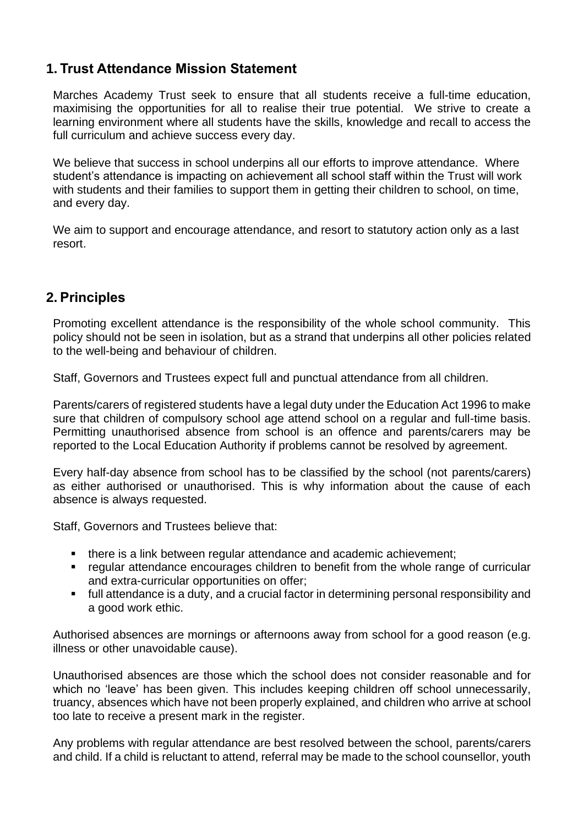# <span id="page-2-0"></span>**1. Trust Attendance Mission Statement**

Marches Academy Trust seek to ensure that all students receive a full-time education, maximising the opportunities for all to realise their true potential. We strive to create a learning environment where all students have the skills, knowledge and recall to access the full curriculum and achieve success every day.

We believe that success in school underpins all our efforts to improve attendance. Where student's attendance is impacting on achievement all school staff within the Trust will work with students and their families to support them in getting their children to school, on time, and every day.

We aim to support and encourage attendance, and resort to statutory action only as a last resort.

## <span id="page-2-1"></span>**2. Principles**

Promoting excellent attendance is the responsibility of the whole school community. This policy should not be seen in isolation, but as a strand that underpins all other policies related to the well-being and behaviour of children.

Staff, Governors and Trustees expect full and punctual attendance from all children.

Parents/carers of registered students have a legal duty under the Education Act 1996 to make sure that children of compulsory school age attend school on a regular and full-time basis. Permitting unauthorised absence from school is an offence and parents/carers may be reported to the Local Education Authority if problems cannot be resolved by agreement.

Every half-day absence from school has to be classified by the school (not parents/carers) as either authorised or unauthorised. This is why information about the cause of each absence is always requested.

Staff, Governors and Trustees believe that:

- there is a link between regular attendance and academic achievement;
- regular attendance encourages children to benefit from the whole range of curricular and extra-curricular opportunities on offer;
- full attendance is a duty, and a crucial factor in determining personal responsibility and a good work ethic.

Authorised absences are mornings or afternoons away from school for a good reason (e.g. illness or other unavoidable cause).

Unauthorised absences are those which the school does not consider reasonable and for which no 'leave' has been given. This includes keeping children off school unnecessarily, truancy, absences which have not been properly explained, and children who arrive at school too late to receive a present mark in the register.

Any problems with regular attendance are best resolved between the school, parents/carers and child. If a child is reluctant to attend, referral may be made to the school counsellor, youth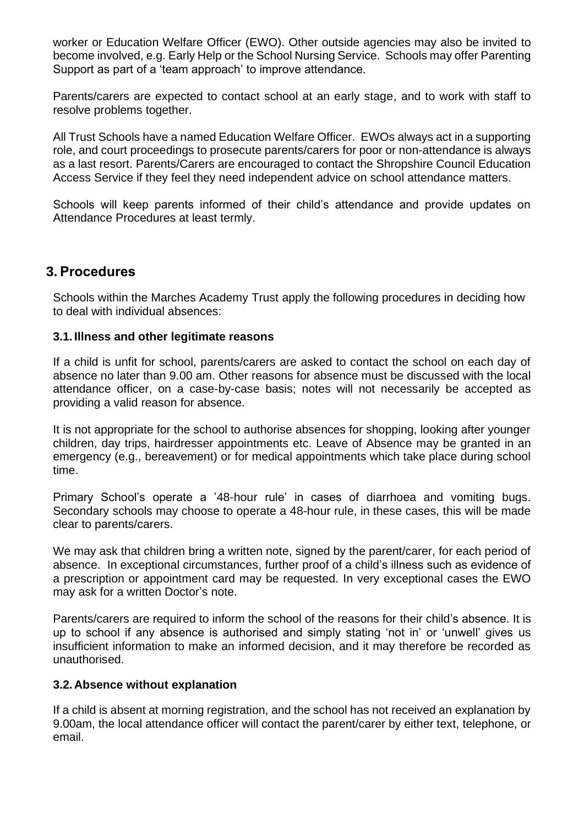worker or Education Welfare Officer (EWO). Other outside agencies may also be invited to become involved, e.g. Early Help or the School Nursing Service. Schools may offer Parenting Support as part of a 'team approach' to improve attendance.

Parents/carers are expected to contact school at an early stage, and to work with staff to resolve problems together.

All Trust Schools have a named Education Welfare Officer. EWOs always act in a supporting role, and court proceedings to prosecute parents/carers for poor or non-attendance is always as a last resort. Parents/Carers are encouraged to contact the Shropshire Council Education Access Service if they feel they need independent advice on school attendance matters.

Schools will keep parents informed of their child's attendance and provide updates on Attendance Procedures at least termly.

## <span id="page-3-0"></span>**3. Procedures**

Schools within the Marches Academy Trust apply the following procedures in deciding how to deal with individual absences:

#### <span id="page-3-1"></span>**3.1. Illness and other legitimate reasons**

If a child is unfit for school, parents/carers are asked to contact the school on each day of absence no later than 9.00 am. Other reasons for absence must be discussed with the local attendance officer, on a case-by-case basis; notes will not necessarily be accepted as providing a valid reason for absence.

It is not appropriate for the school to authorise absences for shopping, looking after younger children, day trips, hairdresser appointments etc. Leave of Absence may be granted in an emergency (e.g., bereavement) or for medical appointments which take place during school time.

Primary School's operate a '48-hour rule' in cases of diarrhoea and vomiting bugs. Secondary schools may choose to operate a 48-hour rule, in these cases, this will be made clear to parents/carers.

We may ask that children bring a written note, signed by the parent/carer, for each period of absence. In exceptional circumstances, further proof of a child's illness such as evidence of a prescription or appointment card may be requested. In very exceptional cases the EWO may ask for a written Doctor's note.

Parents/carers are required to inform the school of the reasons for their child's absence. It is up to school if any absence is authorised and simply stating 'not in' or 'unwell' gives us insufficient information to make an informed decision, and it may therefore be recorded as unauthorised.

#### <span id="page-3-2"></span>**3.2.Absence without explanation**

If a child is absent at morning registration, and the school has not received an explanation by 9.00am, the local attendance officer will contact the parent/carer by either text, telephone, or email.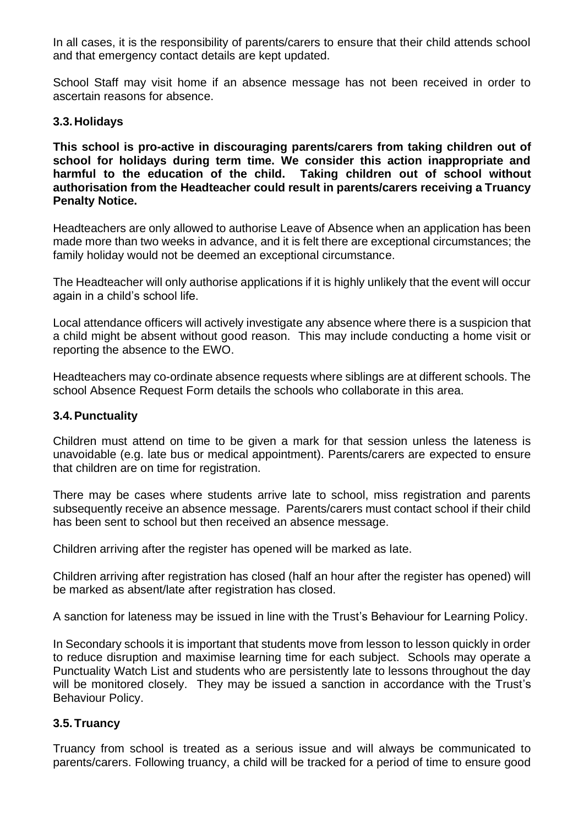In all cases, it is the responsibility of parents/carers to ensure that their child attends school and that emergency contact details are kept updated.

School Staff may visit home if an absence message has not been received in order to ascertain reasons for absence.

#### <span id="page-4-0"></span>**3.3.Holidays**

**This school is pro-active in discouraging parents/carers from taking children out of school for holidays during term time. We consider this action inappropriate and harmful to the education of the child. Taking children out of school without authorisation from the Headteacher could result in parents/carers receiving a Truancy Penalty Notice.**

Headteachers are only allowed to authorise Leave of Absence when an application has been made more than two weeks in advance, and it is felt there are exceptional circumstances; the family holiday would not be deemed an exceptional circumstance.

The Headteacher will only authorise applications if it is highly unlikely that the event will occur again in a child's school life.

Local attendance officers will actively investigate any absence where there is a suspicion that a child might be absent without good reason. This may include conducting a home visit or reporting the absence to the EWO.

Headteachers may co-ordinate absence requests where siblings are at different schools. The school Absence Request Form details the schools who collaborate in this area.

#### <span id="page-4-1"></span>**3.4.Punctuality**

Children must attend on time to be given a mark for that session unless the lateness is unavoidable (e.g. late bus or medical appointment). Parents/carers are expected to ensure that children are on time for registration.

There may be cases where students arrive late to school, miss registration and parents subsequently receive an absence message. Parents/carers must contact school if their child has been sent to school but then received an absence message.

Children arriving after the register has opened will be marked as late.

Children arriving after registration has closed (half an hour after the register has opened) will be marked as absent/late after registration has closed.

A sanction for lateness may be issued in line with the Trust's Behaviour for Learning Policy.

In Secondary schools it is important that students move from lesson to lesson quickly in order to reduce disruption and maximise learning time for each subject. Schools may operate a Punctuality Watch List and students who are persistently late to lessons throughout the day will be monitored closely. They may be issued a sanction in accordance with the Trust's Behaviour Policy.

#### <span id="page-4-2"></span>**3.5.Truancy**

Truancy from school is treated as a serious issue and will always be communicated to parents/carers. Following truancy, a child will be tracked for a period of time to ensure good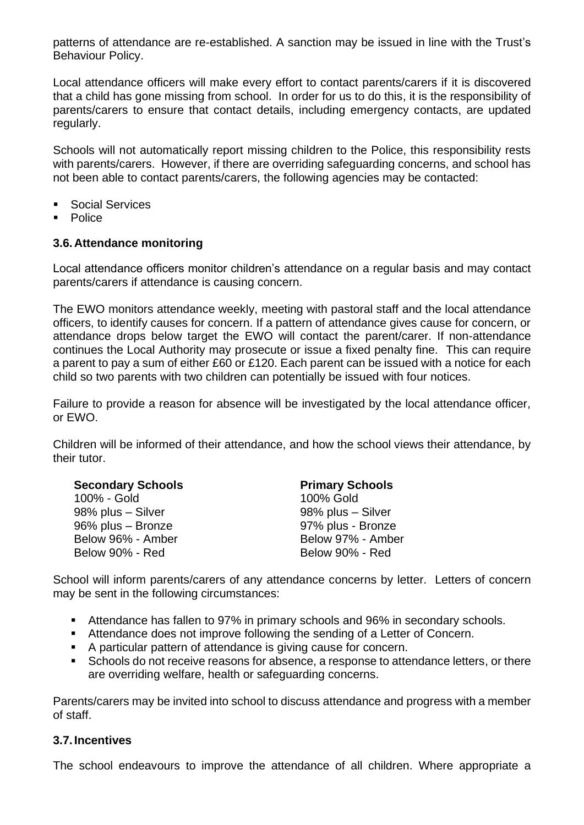patterns of attendance are re-established. A sanction may be issued in line with the Trust's Behaviour Policy.

Local attendance officers will make every effort to contact parents/carers if it is discovered that a child has gone missing from school. In order for us to do this, it is the responsibility of parents/carers to ensure that contact details, including emergency contacts, are updated regularly.

Schools will not automatically report missing children to the Police, this responsibility rests with parents/carers. However, if there are overriding safeguarding concerns, and school has not been able to contact parents/carers, the following agencies may be contacted:

- Social Services
- **Police**

#### <span id="page-5-0"></span>**3.6.Attendance monitoring**

Local attendance officers monitor children's attendance on a regular basis and may contact parents/carers if attendance is causing concern.

The EWO monitors attendance weekly, meeting with pastoral staff and the local attendance officers, to identify causes for concern. If a pattern of attendance gives cause for concern, or attendance drops below target the EWO will contact the parent/carer. If non-attendance continues the Local Authority may prosecute or issue a fixed penalty fine. This can require a parent to pay a sum of either £60 or £120. Each parent can be issued with a notice for each child so two parents with two children can potentially be issued with four notices.

Failure to provide a reason for absence will be investigated by the local attendance officer, or EWO.

Children will be informed of their attendance, and how the school views their attendance, by their tutor.

| <b>Secondary Schools</b> | <b>Primary Schools</b> |  |
|--------------------------|------------------------|--|
| 100% - Gold              | 100% Gold              |  |
| 98% plus - Silver        | 98% plus - Silver      |  |
| 96% plus - Bronze        | 97% plus - Bronze      |  |
| Below 96% - Amber        | Below 97% - Amber      |  |
| Below 90% - Red          | Below 90% - Red        |  |

School will inform parents/carers of any attendance concerns by letter. Letters of concern may be sent in the following circumstances:

- Attendance has fallen to 97% in primary schools and 96% in secondary schools.
- Attendance does not improve following the sending of a Letter of Concern.
- A particular pattern of attendance is giving cause for concern.
- Schools do not receive reasons for absence, a response to attendance letters, or there are overriding welfare, health or safeguarding concerns.

Parents/carers may be invited into school to discuss attendance and progress with a member of staff.

#### <span id="page-5-1"></span>**3.7. Incentives**

The school endeavours to improve the attendance of all children. Where appropriate a